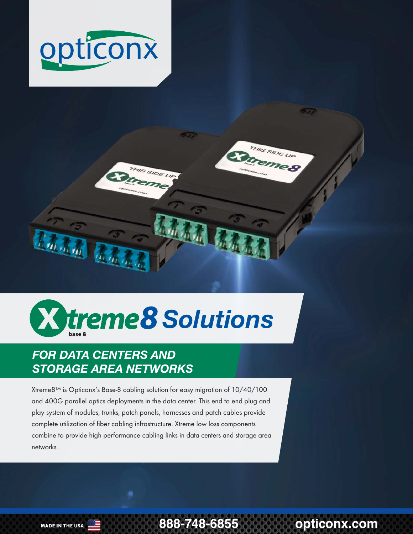





# *FOR DATA CENTERS AND STORAGE AREA NETWORKS*

Xtreme8™ is Opticonx's Base-8 cabling solution for easy migration of 10/40/100 and 400G parallel optics deployments in the data center. This end to end plug and play system of modules, trunks, patch panels, harnesses and patch cables provide complete utilization of fiber cabling infrastructure. Xtreme low loss components combine to provide high performance cabling links in data centers and storage area networks.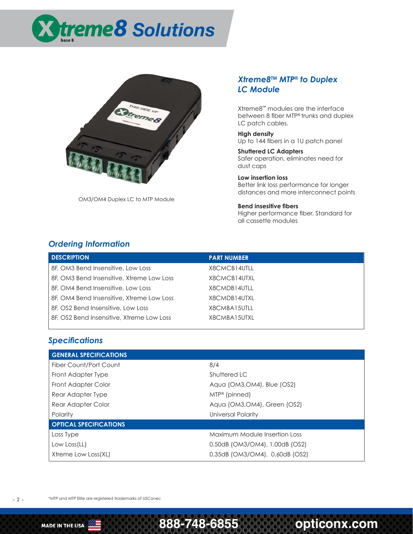



OM3/OM4 Duplex LC to MTP Module

#### *Xtreme8TM MTP® to Duplex LC Module*

Xtreme8™ modules are the interface between 8 fiber MTP® trunks and duplex LC patch cables.

**High density** Up to 144 fibers in a 1U patch panel

**Shuttered LC Adapters** Safer operation, eliminates need for dust caps

**Low insertion loss** Better link loss performance for longer distances and more interconnect points

**Bend insesitive fibers** Higher performance fiber. Standard for all cassette modules

#### *Ordering Information*

| <b>DESCRIPTION</b>                        | <b>PART NUMBER</b> |
|-------------------------------------------|--------------------|
| 8F, OM3 Bend Insensitive, Low Loss        | X8CMCB14UTLL       |
| 8F, OM3 Bend Insensitive, Xtreme Low Loss | X8CMCB14UTXL       |
| 8F, OM4 Bend Insensitive, Low Loss        | X8CMDB14UTLL       |
| 8F, OM4 Bend Insensitive, Xtreme Low Loss | X8CMDB14UTXL       |
| 8F, OS2 Bend Insensitive, Low Loss        | X8CMBA15UTLL       |
| 8F, OS2 Bend Insensitive, Xtreme Low Loss | X8CMBA15UTXL       |

#### *Specifications*

| <b>GENERAL SPECIFICATIONS</b> |                                |
|-------------------------------|--------------------------------|
| Fiber Count/Port Count        | 8/4                            |
| Front Adapter Type            | Shuttered LC                   |
| Front Adapter Color           | Agua (OM3, OM4), Blue (OS2)    |
| Rear Adapter Type             | $MIP^{\circledR}$ (pinned)     |
| Rear Adapter Color            | Aqua (OM3, OM4), Green (OS2)   |
| Polarity                      | Universal Polarity             |
| <b>OPTICAL SPECIFICATIONS</b> |                                |
| Loss Type                     | Maximum Module Insertion Loss  |
| Low Loss(LL)                  | 0.50dB (OM3/OM4), 1.00dB (OS2) |
| Xtreme Low Loss(XL)           | 0.35dB (OM3/OM4), 0.60dB (OS2) |

\*MTP and MTP Elite are registered trademarks of USConec

– 2 –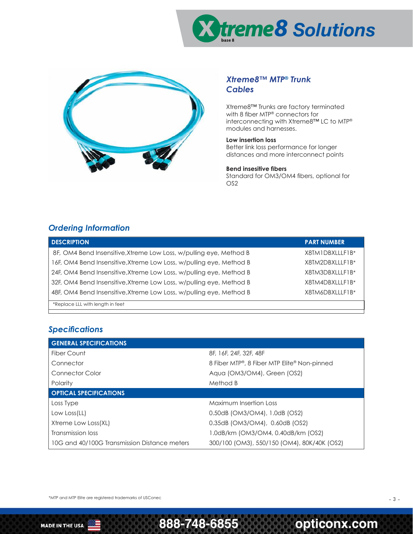



#### *Xtreme8™ MTP® Trunk Cables*

Xtreme8™ Trunks are factory terminated with 8 fiber MTP® connectors for interconnecting with Xtreme8™ LC to MTP® modules and harnesses.

#### **Low insertion loss**

Better link loss performance for longer distances and more interconnect points

#### **Bend insesitive fibers**

Standard for OM3/OM4 fibers, optional for OS2

## *Ordering Information*

| <b>DESCRIPTION</b>                                                  | <b>PART NUMBER</b> |
|---------------------------------------------------------------------|--------------------|
| 8F, OM4 Bend Insensitive, Xtreme Low Loss, w/pulling eye, Method B  | X8TM1DBXLLLF1B*    |
| 16F, OM4 Bend Insensitive, Xtreme Low Loss, w/pulling eye, Method B | X8TM2DBXLLLF1B*    |
| 24F, OM4 Bend Insensitive, Xtreme Low Loss, w/pulling eye, Method B | X8TM3DBXLLLF1B*    |
| 32F, OM4 Bend Insensitive, Xtreme Low Loss, w/pulling eye, Method B | X8TM4DBXLLLF1B*    |
| 48F, OM4 Bend Insensitive, Xtreme Low Loss, w/pulling eye, Method B | X8TM6DBXLLLF1B*    |
| *Replace LLL with length in feet                                    |                    |

## *Specifications*

| <b>GENERAL SPECIFICATIONS</b>                |                                             |
|----------------------------------------------|---------------------------------------------|
| Fiber Count                                  | 8F, 16F, 24F, 32F, 48F                      |
| Connector                                    | 8 Fiber MTP®, 8 Fiber MTP Elite® Non-pinned |
| Connector Color                              | Aqua (OM3/OM4), Green (OS2)                 |
| Polarity                                     | Method B                                    |
| <b>OPTICAL SPECIFICATIONS</b>                |                                             |
| Loss Type                                    | <b>Maximum Insertion Loss</b>               |
| Low Loss(LL)                                 | 0.50dB (OM3/OM4), 1.0dB (OS2)               |
| Xtreme Low Loss(XL)                          | 0.35dB (OM3/OM4), 0.60dB (OS2)              |
| Transmission loss                            | 1.0dB/km (OM3/OM4, 0.40dB/km (OS2)          |
| 10G and 40/100G Transmission Distance meters | 300/100 (OM3), 550/150 (OM4), 80K/40K (OS2) |

\*MTP and MTP Elite are registered trademarks of USConec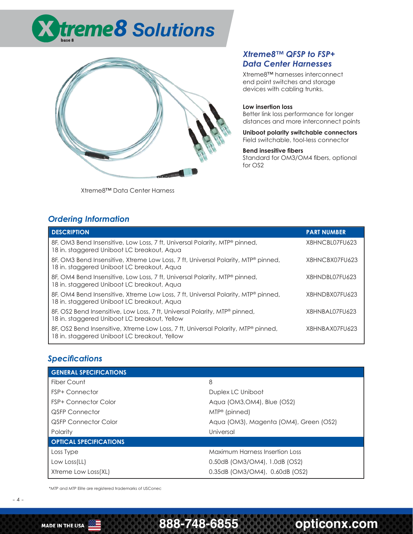



Xtreme8™ Data Center Harness

#### *Xtreme8™ QFSP to FSP+ Data Center Harnesses*

Xtreme8™ harnesses interconnect end point switches and storage devices with cabling trunks.

#### **Low insertion loss**

Better link loss performance for longer distances and more interconnect points

**Uniboot polarity switchable connectors** Field switchable, tool-less connector

#### **Bend insesitive fibers**

Standard for OM3/OM4 fibers, optional for OS2

### *Ordering Information*

| <b>DESCRIPTION</b>                                                                                                                | <b>PART NUMBER</b> |
|-----------------------------------------------------------------------------------------------------------------------------------|--------------------|
| 8F, OM3 Bend Insensitive, Low Loss, 7 ft, Universal Polarity, MTP® pinned,<br>18 in. staggered Uniboot LC breakout, Aqua          | X8HNCBL07FU623     |
| 8F, OM3 Bend Insensitive, Xtreme Low Loss, 7 ft, Universal Polarity, MTP® pinned,<br>18 in. staggered Uniboot LC breakout, Aqua   | X8HNCBX07FU623     |
| 8F, OM4 Bend Insensitive, Low Loss, 7 ft, Universal Polarity, MTP® pinned,<br>18 in. staggered Uniboot LC breakout, Agua          | X8HNDBL07FU623     |
| 8F, OM4 Bend Insensitive, Xtreme Low Loss, 7 ft, Universal Polarity, MTP® pinned,<br>18 in. staggered Uniboot LC breakout, Aqua   | X8HNDBX07FU623     |
| 8F, OS2 Bend Insensitive, Low Loss, 7 ft, Universal Polarity, MTP® pinned,<br>18 in. staggered Uniboot LC breakout, Yellow        | X8HNBAL07FU623     |
| 8F, OS2 Bend Insensitive, Xtreme Low Loss, 7 ft, Universal Polarity, MTP® pinned,<br>18 in. staggered Uniboot LC breakout, Yellow | X8HNBAX07FU623     |

## *Specifications*

| <b>GENERAL SPECIFICATIONS</b> |                                        |
|-------------------------------|----------------------------------------|
| Fiber Count                   | 8                                      |
| <b>FSP+ Connector</b>         | Duplex LC Uniboot                      |
| <b>FSP+ Connector Color</b>   | Aqua (OM3, OM4), Blue (OS2)            |
| <b>QSFP Connector</b>         | $MIP^{\circledR}$ (pinned)             |
| <b>QSFP Connector Color</b>   | Aqua (OM3), Magenta (OM4), Green (OS2) |
| Polarity                      | Universal                              |
| <b>OPTICAL SPECIFICATIONS</b> |                                        |
| Loss Type                     | <b>Maximum Harness Insertion Loss</b>  |
| Low Loss(LL)                  | 0.50dB (OM3/OM4), 1.0dB (OS2)          |
| Xtreme Low Loss(XL)           | 0.35dB (OM3/OM4), 0.60dB (OS2)         |

\*MTP and MTP Elite are registered trademarks of USConec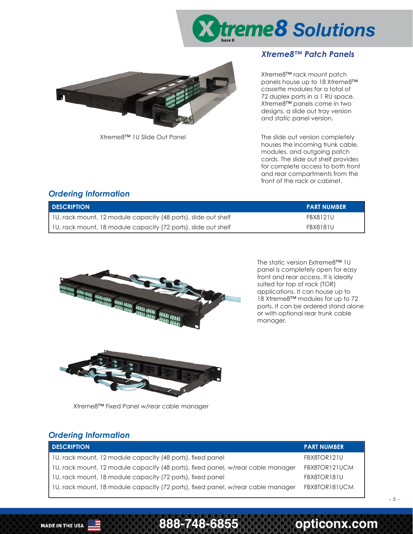

#### *Xtreme8™ Patch Panels*



Xtreme8™ rack mount patch panels house up to 18 Xtreme8™ cassette modules for a total of 72 duplex ports in a 1 RU space. Xtreme8™ panels come in two designs, a slide out tray version and static panel version.

Xtreme8™ 1U Slide Out Panel The slide out version completely houses the incoming trunk cable, modules, and outgoing patch cords. The slide out shelf provides for complete access to both front and rear compartments from the front of the rack or cabinet.

### *Ordering Information*

| <b>DESCRIPTION</b>                                             | <b>PART NUMBER</b> |
|----------------------------------------------------------------|--------------------|
| 1U, rack mount, 12 module capacity (48 ports), slide out shelf | <b>FBX8121U</b>    |
| 1U, rack mount, 18 module capacity (72 ports), slide out shelf | <b>FBX8181U</b>    |



The static version Extreme8™ 1U panel is completely open for easy front and rear access. It is ideally suited for top of rack (TOR) applications. It can house up to 18 Xtreme8™ modules for up to 72 ports. It can be ordered stand alone or with optional rear trunk cable manager.



Xtreme8™ Fixed Panel w/rear cable manager

### *Ordering Information*

| <b>DESCRIPTION</b>                                                               | <b>PART NUMBER</b> |
|----------------------------------------------------------------------------------|--------------------|
| 1U, rack mount, 12 module capacity (48 ports), fixed panel                       | FBX8TOR121U        |
| 10, rack mount, 12 module capacity (48 ports), fixed panel, w/rear cable manager | FBX8TOR121UCM      |
| 10, rack mount, 18 module capacity (72 ports), fixed panel                       | FBX8TOR181U        |
| 10, rack mount, 18 module capacity (72 ports), fixed panel, w/rear cable manager | FBX8TOR181UCM      |

– 5 –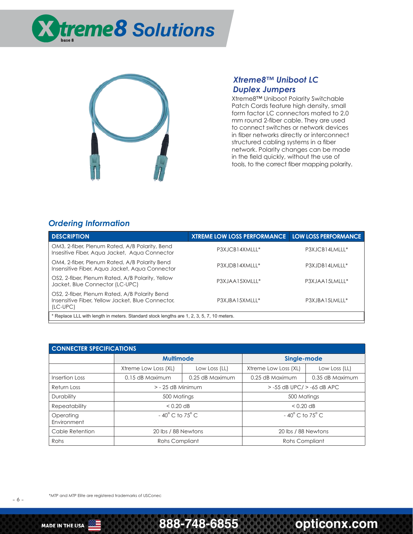



#### *Xtreme8™ Uniboot LC Duplex Jumpers*

Xtreme8™ Uniboot Polarity Switchable Patch Cords feature high density, small form factor LC connectors mated to 2.0 mm round 2-fiber cable. They are used to connect switches or network devices in fiber networks directly or interconnect structured cabling systems in a fiber network. Polarity changes can be made in the field quickly, without the use of tools, to the correct fiber mapping polarity.

### *Ordering Information*

| <b>DESCRIPTION</b>                                                                                             | <b>XTREME LOW LOSS PERFORMANCE   LOW LOSS PERFORMANCE</b> |                |
|----------------------------------------------------------------------------------------------------------------|-----------------------------------------------------------|----------------|
| OM3, 2-fiber, Plenum Rated, A/B Polarity, Bend<br>Insesitive Fiber, Aqua Jacket, Aqua Connector                | P3XJCB14XMLLL*                                            | P3XJCB14LMLLL* |
| OM4, 2-fiber, Plenum Rated, A/B Polarity Bend<br>Insensitive Fiber, Aqua Jacket, Aqua Connector                | P3XJDB14XMLLL*                                            | P3XJDB14LMLLL* |
| OS2, 2-fiber, Plenum Rated, A/B Polarity, Yellow<br>Jacket, Blue Connector (LC-UPC)                            | P3XJAA15XMLLL*                                            | P3XJAA15LMLLL* |
| OS2, 2-fiber, Plenum Rated, A/B Polarity Bend<br>Insensitive Fiber, Yellow Jacket, Blue Connector,<br>(LC-UPC) | P3XJBA15XMLLL*                                            | P3XJBA15LMLLL* |
| * Replace LLL with length in meters. Standard stock lengths are 1, 2, 3, 5, 7, 10 meters.                      |                                                           |                |

| <b>CONNECTER SPECIFICATIONS</b> |                                     |                     |                                     |                                |
|---------------------------------|-------------------------------------|---------------------|-------------------------------------|--------------------------------|
|                                 | <b>Multimode</b>                    |                     | Single-mode                         |                                |
|                                 | Xtreme Low Loss (XL)                | Low Loss (LL)       | Xtreme Low Loss (XL)                | Low Loss (LL)                  |
| Insertion Loss                  | 0.15 dB Maximum                     | 0.25 dB Maximum     | 0.25 dB Maximum                     | 0.35 dB Maximum                |
| Return Loss                     |                                     | $>$ - 25 dB Minimum |                                     | $> -55$ dB UPC/ $> -65$ dB APC |
| <b>Durability</b>               | 500 Matings                         |                     | 500 Matings                         |                                |
| Repeatability                   | $< 0.20$ dB                         |                     | $< 0.20$ dB                         |                                |
| Operating<br>Environment        | $-40^{\circ}$ C to 75 $^{\circ}$ C. |                     | $-40^{\circ}$ C to 75 $^{\circ}$ C. |                                |
| Cable Retention                 | 20 lbs / 88 Newtons                 |                     | 20 lbs / 88 Newtons                 |                                |
| Rohs                            | <b>Rohs Compliant</b>               |                     | <b>Rohs Compliant</b>               |                                |

– 6 –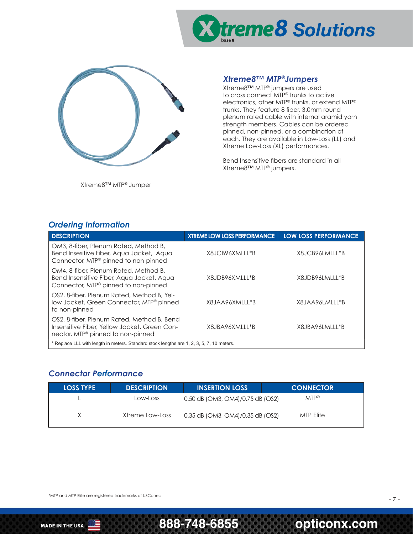



Xtreme8™ MTP® Jumper

#### *Xtreme8™ MTP®Jumpers*

Xtreme8™ MTP® jumpers are used to cross connect MTP® trunks to active electronics, other MTP® trunks, or extend MTP® trunks. They feature 8 fiber, 3.0mm round plenum rated cable with internal aramid yarn strength members. Cables can be ordered pinned, non-pinned, or a combination of each. They are available in Low-Loss (LL) and Xtreme Low-Loss (XL) performances.

Bend Insensitive fibers are standard in all Xtreme8™ MTP® jumpers.

#### *Ordering Information*

| <b>DESCRIPTION</b>                                                                                                                          | <b><i>XTREME LOW LOSS PERFORMANCE</i></b> | <b>LOW LOSS PERFORMANCE</b> |
|---------------------------------------------------------------------------------------------------------------------------------------------|-------------------------------------------|-----------------------------|
| OM3, 8-fiber, Plenum Rated, Method B,<br>Bend Insesitive Fiber, Aqua Jacket, Aqua<br>Connector, MTP® pinned to non-pinned                   | X8JCB96XMLLL*B                            | X8JCB96LMLLL*B              |
| OM4, 8-fiber, Plenum Rated, Method B,<br>Bend Insensitive Fiber, Aqua Jacket, Aqua<br>Connector, MTP® pinned to non-pinned                  | X8JDB96XMLLL*B                            | X8.JDB96LMLLL*B             |
| OS2, 8-fiber, Plenum Rated, Method B, Yel-<br>low Jacket, Green Connector, MTP <sup>®</sup> pinned<br>to non-pinned                         | X8JAA96XMLLL*B                            | X8JAA96LMLLL*B              |
| OS2, 8-fiber, Plenum Rated, Method B, Bend<br>Insensitive Fiber, Yellow Jacket, Green Con-<br>nector, MTP <sup>®</sup> pinned to non-pinned | X8.JBA96XMLLL*B                           | X8.JBA96LMLLL*B             |
| * Replace LLL with length in meters. Standard stock lengths are 1, 2, 3, 5, 7, 10 meters.                                                   |                                           |                             |

#### *Connector Performance*

| <b>LOSS TYPE</b> | <b>DESCRIPTION</b> | <b>INSERTION LOSS</b>            | <b>CONNECTOR</b>  |
|------------------|--------------------|----------------------------------|-------------------|
|                  | Low-Loss           | 0.50 dB (OM3, OM4)/0.75 dB (OS2) | $MTP^{\circledR}$ |
| X                | Xtreme Low-Loss    | 0.35 dB (OM3, OM4)/0.35 dB (OS2) | MTP Elite         |

\*MTP and MTP Elite are registered trademarks of USConec

– 7 –